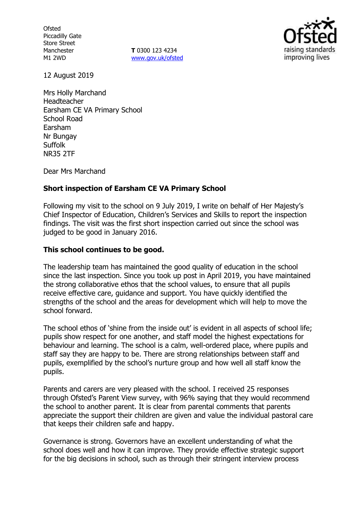**Ofsted** Piccadilly Gate Store Street Manchester M1 2WD

**T** 0300 123 4234 www.gov.uk/ofsted



12 August 2019

Mrs Holly Marchand Headteacher Earsham CE VA Primary School School Road Earsham Nr Bungay Suffolk NR35 2TF

Dear Mrs Marchand

# **Short inspection of Earsham CE VA Primary School**

Following my visit to the school on 9 July 2019, I write on behalf of Her Majesty's Chief Inspector of Education, Children's Services and Skills to report the inspection findings. The visit was the first short inspection carried out since the school was judged to be good in January 2016.

## **This school continues to be good.**

The leadership team has maintained the good quality of education in the school since the last inspection. Since you took up post in April 2019, you have maintained the strong collaborative ethos that the school values, to ensure that all pupils receive effective care, guidance and support. You have quickly identified the strengths of the school and the areas for development which will help to move the school forward.

The school ethos of 'shine from the inside out' is evident in all aspects of school life; pupils show respect for one another, and staff model the highest expectations for behaviour and learning. The school is a calm, well-ordered place, where pupils and staff say they are happy to be. There are strong relationships between staff and pupils, exemplified by the school's nurture group and how well all staff know the pupils.

Parents and carers are very pleased with the school. I received 25 responses through Ofsted's Parent View survey, with 96% saying that they would recommend the school to another parent. It is clear from parental comments that parents appreciate the support their children are given and value the individual pastoral care that keeps their children safe and happy.

Governance is strong. Governors have an excellent understanding of what the school does well and how it can improve. They provide effective strategic support for the big decisions in school, such as through their stringent interview process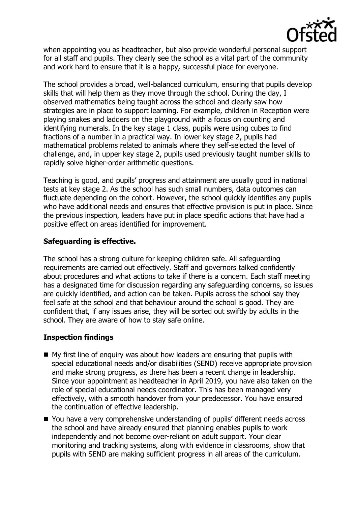

when appointing you as headteacher, but also provide wonderful personal support for all staff and pupils. They clearly see the school as a vital part of the community and work hard to ensure that it is a happy, successful place for everyone.

The school provides a broad, well-balanced curriculum, ensuring that pupils develop skills that will help them as they move through the school. During the day, I observed mathematics being taught across the school and clearly saw how strategies are in place to support learning. For example, children in Reception were playing snakes and ladders on the playground with a focus on counting and identifying numerals. In the key stage 1 class, pupils were using cubes to find fractions of a number in a practical way. In lower key stage 2, pupils had mathematical problems related to animals where they self-selected the level of challenge, and, in upper key stage 2, pupils used previously taught number skills to rapidly solve higher-order arithmetic questions.

Teaching is good, and pupils' progress and attainment are usually good in national tests at key stage 2. As the school has such small numbers, data outcomes can fluctuate depending on the cohort. However, the school quickly identifies any pupils who have additional needs and ensures that effective provision is put in place. Since the previous inspection, leaders have put in place specific actions that have had a positive effect on areas identified for improvement.

# **Safeguarding is effective.**

The school has a strong culture for keeping children safe. All safeguarding requirements are carried out effectively. Staff and governors talked confidently about procedures and what actions to take if there is a concern. Each staff meeting has a designated time for discussion regarding any safeguarding concerns, so issues are quickly identified, and action can be taken. Pupils across the school say they feel safe at the school and that behaviour around the school is good. They are confident that, if any issues arise, they will be sorted out swiftly by adults in the school. They are aware of how to stay safe online.

# **Inspection findings**

- My first line of enquiry was about how leaders are ensuring that pupils with special educational needs and/or disabilities (SEND) receive appropriate provision and make strong progress, as there has been a recent change in leadership. Since your appointment as headteacher in April 2019, you have also taken on the role of special educational needs coordinator. This has been managed very effectively, with a smooth handover from your predecessor. You have ensured the continuation of effective leadership.
- You have a very comprehensive understanding of pupils' different needs across the school and have already ensured that planning enables pupils to work independently and not become over-reliant on adult support. Your clear monitoring and tracking systems, along with evidence in classrooms, show that pupils with SEND are making sufficient progress in all areas of the curriculum.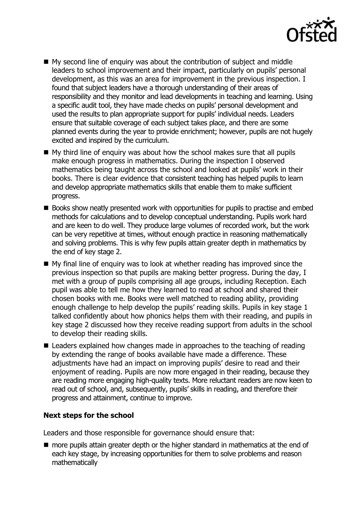

- My second line of enquiry was about the contribution of subject and middle leaders to school improvement and their impact, particularly on pupils' personal development, as this was an area for improvement in the previous inspection. I found that subject leaders have a thorough understanding of their areas of responsibility and they monitor and lead developments in teaching and learning. Using a specific audit tool, they have made checks on pupils' personal development and used the results to plan appropriate support for pupils' individual needs. Leaders ensure that suitable coverage of each subject takes place, and there are some planned events during the year to provide enrichment; however, pupils are not hugely excited and inspired by the curriculum.
- My third line of enquiry was about how the school makes sure that all pupils make enough progress in mathematics. During the inspection I observed mathematics being taught across the school and looked at pupils' work in their books. There is clear evidence that consistent teaching has helped pupils to learn and develop appropriate mathematics skills that enable them to make sufficient progress.
- Books show neatly presented work with opportunities for pupils to practise and embed methods for calculations and to develop conceptual understanding. Pupils work hard and are keen to do well. They produce large volumes of recorded work, but the work can be very repetitive at times, without enough practice in reasoning mathematically and solving problems. This is why few pupils attain greater depth in mathematics by the end of key stage 2.
- My final line of enquiry was to look at whether reading has improved since the previous inspection so that pupils are making better progress. During the day, I met with a group of pupils comprising all age groups, including Reception. Each pupil was able to tell me how they learned to read at school and shared their chosen books with me. Books were well matched to reading ability, providing enough challenge to help develop the pupils' reading skills. Pupils in key stage 1 talked confidently about how phonics helps them with their reading, and pupils in key stage 2 discussed how they receive reading support from adults in the school to develop their reading skills.
- Leaders explained how changes made in approaches to the teaching of reading by extending the range of books available have made a difference. These adjustments have had an impact on improving pupils' desire to read and their enjoyment of reading. Pupils are now more engaged in their reading, because they are reading more engaging high-quality texts. More reluctant readers are now keen to read out of school, and, subsequently, pupils' skills in reading, and therefore their progress and attainment, continue to improve.

## **Next steps for the school**

Leaders and those responsible for governance should ensure that:

**number 1** more pupils attain greater depth or the higher standard in mathematics at the end of each key stage, by increasing opportunities for them to solve problems and reason mathematically